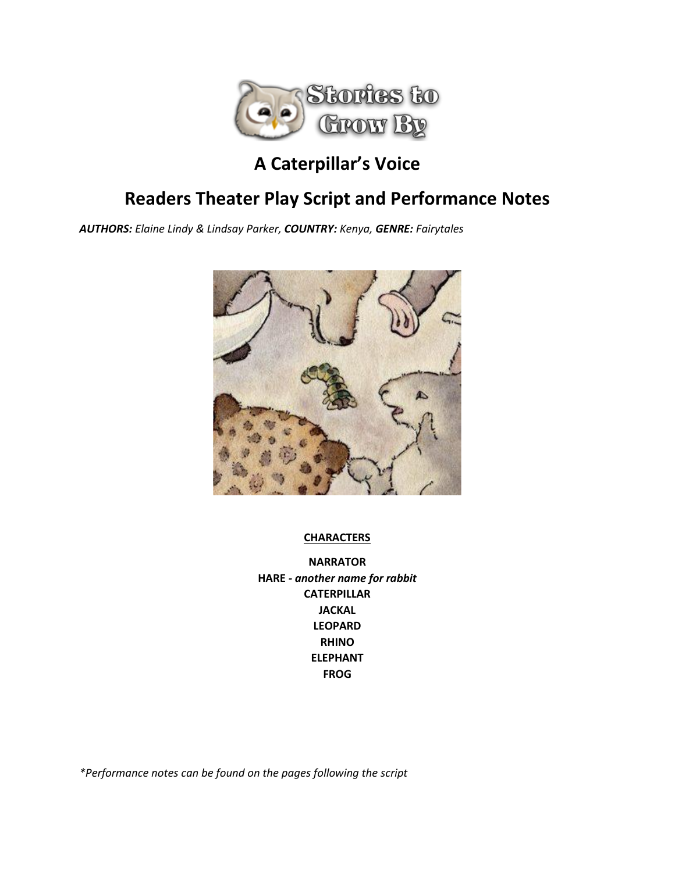

## **A Caterpillar's Voice**

## **Readers Theater Play Script and Performance Notes**

*AUTHORS: Elaine Lindy & Lindsay Parker, COUNTRY: Kenya, GENRE: Fairytales*



## **CHARACTERS**

**NARRATOR HARE** *- another name for rabbit* **CATERPILLAR JACKAL LEOPARD RHINO ELEPHANT FROG**

*\*Performance notes can be found on the pages following the script*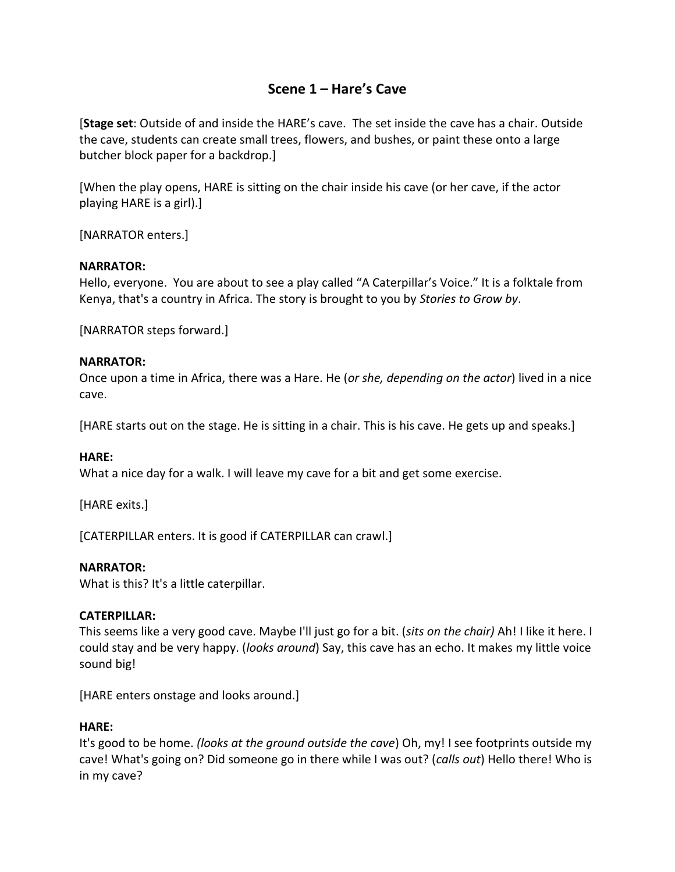## **Scene 1 – Hare's Cave**

[**Stage set**: Outside of and inside the HARE's cave. The set inside the cave has a chair. Outside the cave, students can create small trees, flowers, and bushes, or paint these onto a large butcher block paper for a backdrop.]

[When the play opens, HARE is sitting on the chair inside his cave (or her cave, if the actor playing HARE is a girl).]

[NARRATOR enters.]

#### **NARRATOR:**

Hello, everyone. You are about to see a play called "A Caterpillar's Voice." It is a folktale from Kenya, that's a country in Africa. The story is brought to you by *Stories to Grow by*.

[NARRATOR steps forward.]

#### **NARRATOR:**

Once upon a time in Africa, there was a Hare. He (*or she, depending on the actor*) lived in a nice cave.

[HARE starts out on the stage. He is sitting in a chair. This is his cave. He gets up and speaks.]

#### **HARE:**

What a nice day for a walk. I will leave my cave for a bit and get some exercise.

[HARE exits.]

[CATERPILLAR enters. It is good if CATERPILLAR can crawl.]

#### **NARRATOR:**

What is this? It's a little caterpillar.

#### **CATERPILLAR:**

This seems like a very good cave. Maybe I'll just go for a bit. (*sits on the chair)* Ah! I like it here. I could stay and be very happy. (*looks around*) Say, this cave has an echo. It makes my little voice sound big!

[HARE enters onstage and looks around.]

#### **HARE:**

It's good to be home. *(looks at the ground outside the cave*) Oh, my! I see footprints outside my cave! What's going on? Did someone go in there while I was out? (*calls out*) Hello there! Who is in my cave?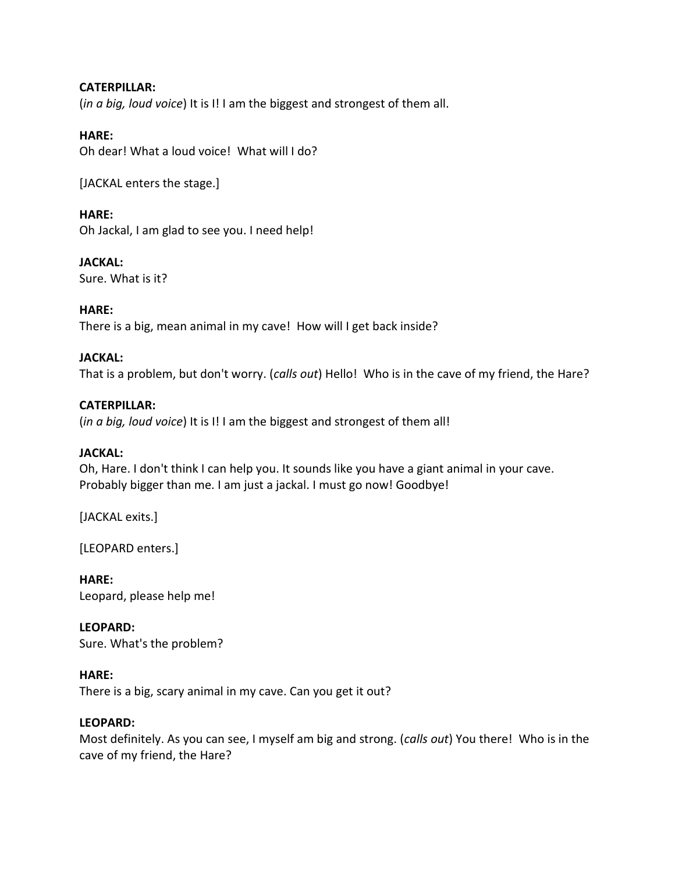## **CATERPILLAR:**

(*in a big, loud voice*) It is I! I am the biggest and strongest of them all.

## **HARE:**

Oh dear! What a loud voice! What will I do?

[JACKAL enters the stage.]

## **HARE:**

Oh Jackal, I am glad to see you. I need help!

## **JACKAL:**

Sure. What is it?

## **HARE:**

There is a big, mean animal in my cave! How will I get back inside?

## **JACKAL:**

That is a problem, but don't worry. (*calls out*) Hello! Who is in the cave of my friend, the Hare?

## **CATERPILLAR:**

(*in a big, loud voice*) It is I! I am the biggest and strongest of them all!

#### **JACKAL:**

Oh, Hare. I don't think I can help you. It sounds like you have a giant animal in your cave. Probably bigger than me. I am just a jackal. I must go now! Goodbye!

[JACKAL exits.]

[LEOPARD enters.]

**HARE:** Leopard, please help me!

**LEOPARD:** Sure. What's the problem?

#### **HARE:**

There is a big, scary animal in my cave. Can you get it out?

#### **LEOPARD:**

Most definitely. As you can see, I myself am big and strong. (*calls out*) You there! Who is in the cave of my friend, the Hare?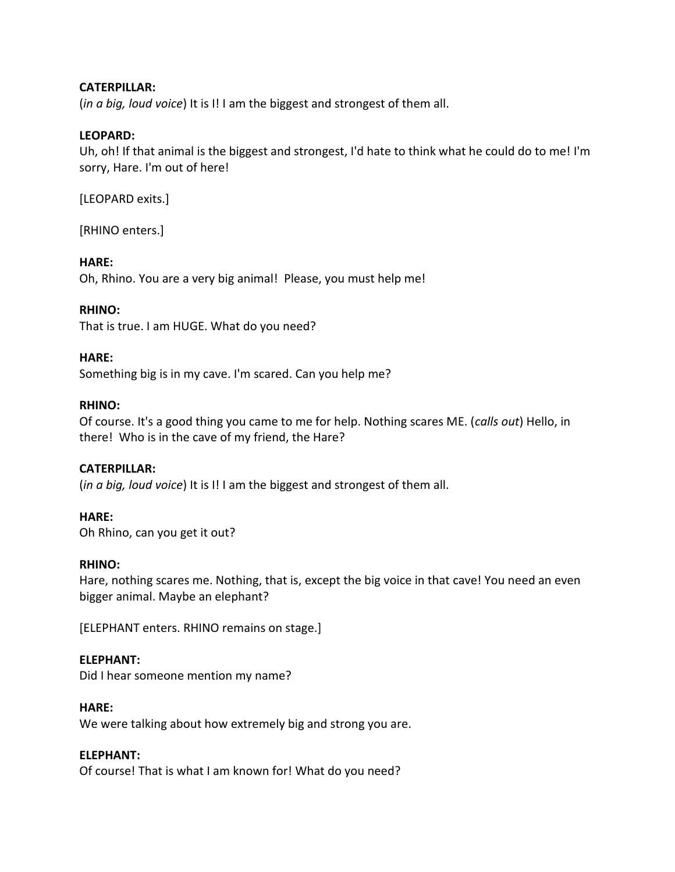#### **CATERPILLAR:**

(*in a big, loud voice*) It is I! I am the biggest and strongest of them all.

#### **LEOPARD:**

Uh, oh! If that animal is the biggest and strongest, I'd hate to think what he could do to me! I'm sorry, Hare. I'm out of here!

[LEOPARD exits.]

[RHINO enters.]

#### **HARE:**

Oh, Rhino. You are a very big animal! Please, you must help me!

#### **RHINO:**

That is true. I am HUGE. What do you need?

#### **HARE:**

Something big is in my cave. I'm scared. Can you help me?

#### **RHINO:**

Of course. It's a good thing you came to me for help. Nothing scares ME. (*calls out*) Hello, in there! Who is in the cave of my friend, the Hare?

#### **CATERPILLAR:**

(*in a big, loud voice*) It is I! I am the biggest and strongest of them all.

#### **HARE:**

Oh Rhino, can you get it out?

#### **RHINO:**

Hare, nothing scares me. Nothing, that is, except the big voice in that cave! You need an even bigger animal. Maybe an elephant?

[ELEPHANT enters. RHINO remains on stage.]

#### **ELEPHANT:**

Did I hear someone mention my name?

#### **HARE:**

We were talking about how extremely big and strong you are.

#### **ELEPHANT:**

Of course! That is what I am known for! What do you need?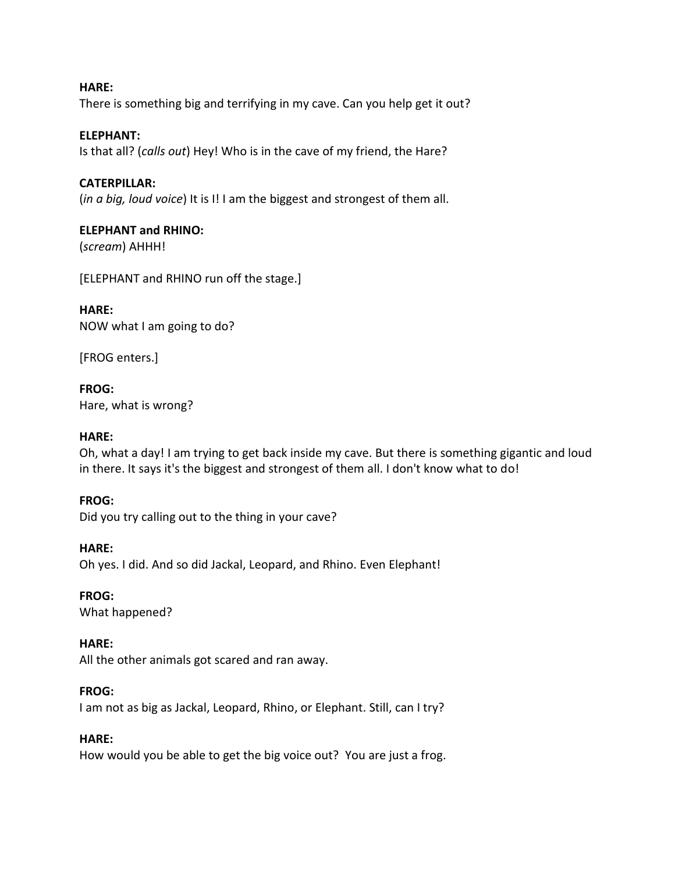**HARE:** There is something big and terrifying in my cave. Can you help get it out?

#### **ELEPHANT:**

Is that all? (*calls out*) Hey! Who is in the cave of my friend, the Hare?

#### **CATERPILLAR:**

(*in a big, loud voice*) It is I! I am the biggest and strongest of them all.

#### **ELEPHANT and RHINO:**

(*scream*) AHHH!

[ELEPHANT and RHINO run off the stage.]

#### **HARE:**

NOW what I am going to do?

[FROG enters.]

**FROG:** Hare, what is wrong?

#### **HARE:**

Oh, what a day! I am trying to get back inside my cave. But there is something gigantic and loud in there. It says it's the biggest and strongest of them all. I don't know what to do!

#### **FROG:**

Did you try calling out to the thing in your cave?

#### **HARE:**

Oh yes. I did. And so did Jackal, Leopard, and Rhino. Even Elephant!

**FROG:** What happened?

#### **HARE:**

All the other animals got scared and ran away.

#### **FROG:**

I am not as big as Jackal, Leopard, Rhino, or Elephant. Still, can I try?

#### **HARE:**

How would you be able to get the big voice out? You are just a frog.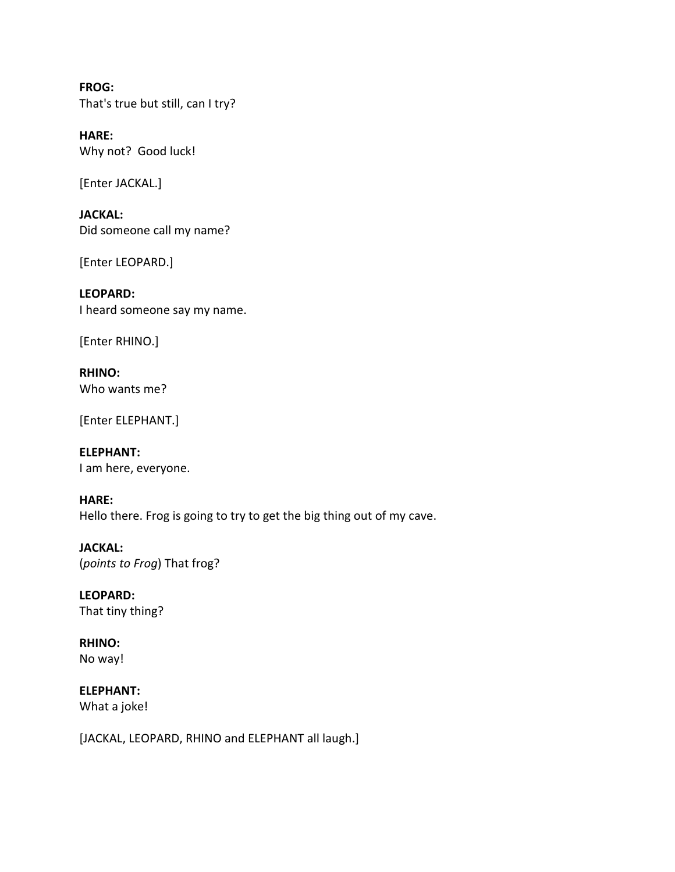**FROG:** That's true but still, can I try?

**HARE:** Why not? Good luck!

[Enter JACKAL.]

**JACKAL:** Did someone call my name?

[Enter LEOPARD.]

**LEOPARD:** I heard someone say my name.

[Enter RHINO.]

**RHINO:** Who wants me?

[Enter ELEPHANT.]

**ELEPHANT:** I am here, everyone.

**HARE:**

Hello there. Frog is going to try to get the big thing out of my cave.

**JACKAL:** (*points to Frog*) That frog?

**LEOPARD:** That tiny thing?

**RHINO:** No way!

**ELEPHANT:** What a joke!

[JACKAL, LEOPARD, RHINO and ELEPHANT all laugh.]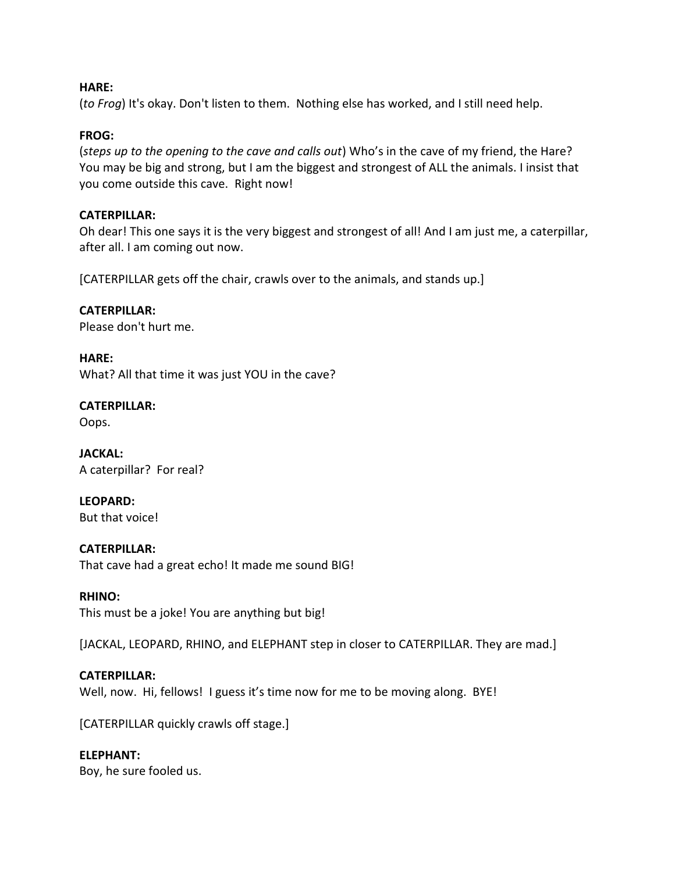#### **HARE:**

(*to Frog*) It's okay. Don't listen to them. Nothing else has worked, and I still need help.

## **FROG:**

(*steps up to the opening to the cave and calls out*) Who's in the cave of my friend, the Hare? You may be big and strong, but I am the biggest and strongest of ALL the animals. I insist that you come outside this cave. Right now!

## **CATERPILLAR:**

Oh dear! This one says it is the very biggest and strongest of all! And I am just me, a caterpillar, after all. I am coming out now.

[CATERPILLAR gets off the chair, crawls over to the animals, and stands up.]

#### **CATERPILLAR:**

Please don't hurt me.

**HARE:** What? All that time it was just YOU in the cave?

**CATERPILLAR:** Oops.

**JACKAL:** A caterpillar? For real?

**LEOPARD:** But that voice!

#### **CATERPILLAR:**

That cave had a great echo! It made me sound BIG!

#### **RHINO:**

This must be a joke! You are anything but big!

[JACKAL, LEOPARD, RHINO, and ELEPHANT step in closer to CATERPILLAR. They are mad.]

#### **CATERPILLAR:**

Well, now. Hi, fellows! I guess it's time now for me to be moving along. BYE!

[CATERPILLAR quickly crawls off stage.]

#### **ELEPHANT:**

Boy, he sure fooled us.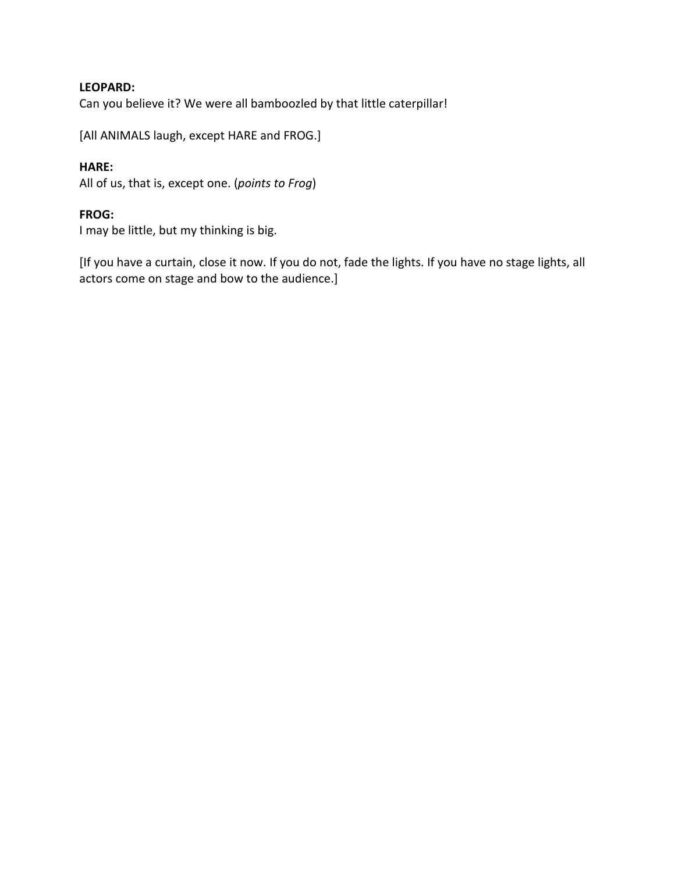## **LEOPARD:**

Can you believe it? We were all bamboozled by that little caterpillar!

[All ANIMALS laugh, except HARE and FROG.]

## **HARE:**

All of us, that is, except one. (*points to Frog*)

### **FROG:**

I may be little, but my thinking is big.

[If you have a curtain, close it now. If you do not, fade the lights. If you have no stage lights, all actors come on stage and bow to the audience.]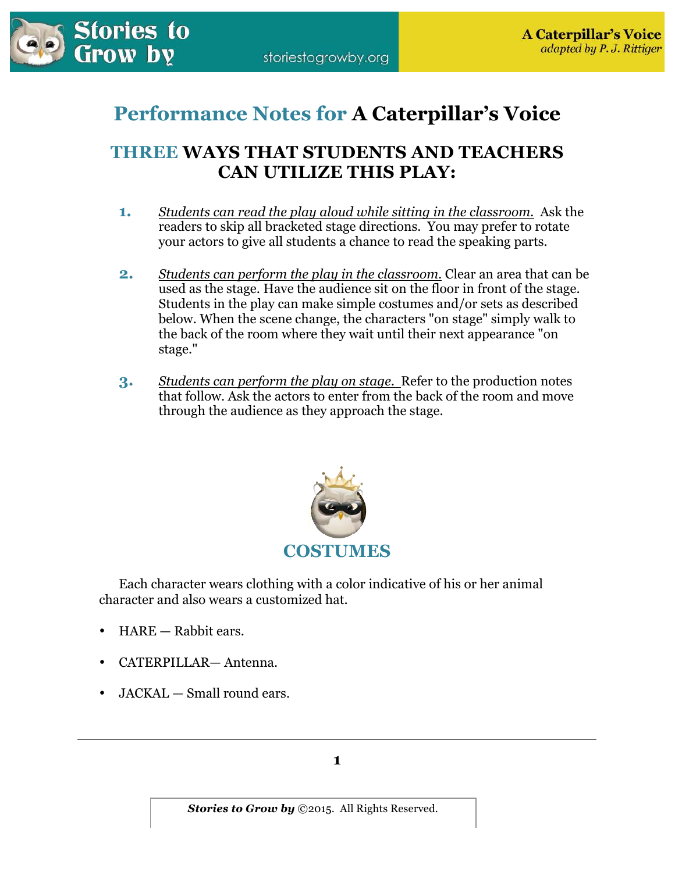

# **Performance Notes for A Caterpillar's Voice**

## **THREE WAYS THAT STUDENTS AND TEACHERS CAN UTILIZE THIS PLAY:**

- **1.** *Students can read the play aloud while sitting in the classroom.* Ask the readers to skip all bracketed stage directions. You may prefer to rotate your actors to give all students a chance to read the speaking parts.
- **2.** *Students can perform the play in the classroom.* Clear an area that can be used as the stage. Have the audience sit on the floor in front of the stage. Students in the play can make simple costumes and/or sets as described below. When the scene change, the characters "on stage" simply walk to the back of the room where they wait until their next appearance "on stage."
- **3.** *Students can perform the play on stage.* Refer to the production notes that follow. Ask the actors to enter from the back of the room and move through the audience as they approach the stage.



 Each character wears clothing with a color indicative of his or her animal character and also wears a customized hat.

- HARE Rabbit ears.
- CATERPILLAR— Antenna.
- JACKAL Small round ears.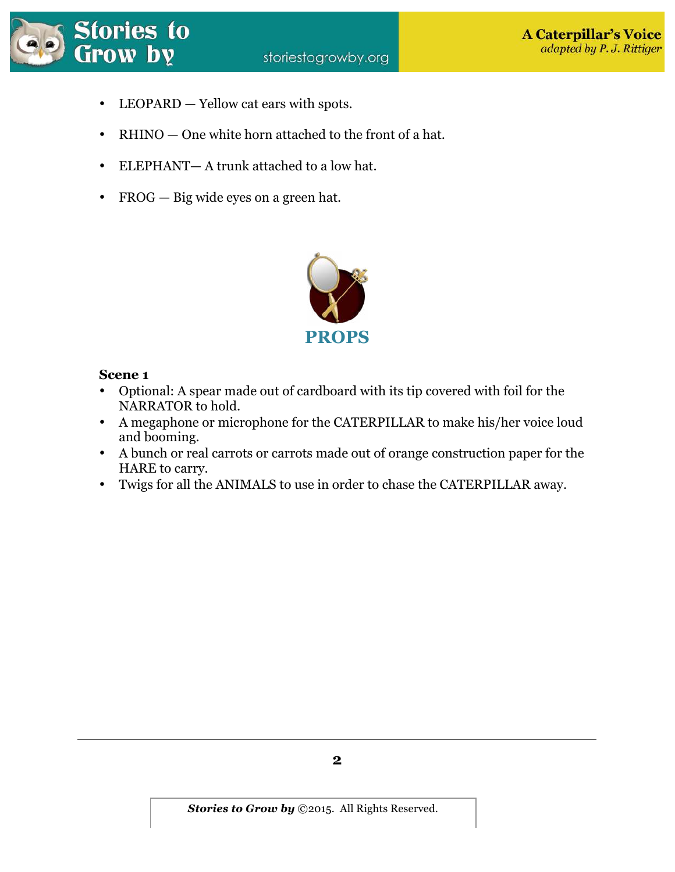

- LEOPARD Yellow cat ears with spots.
- RHINO One white horn attached to the front of a hat.
- ELEPHANT— A trunk attached to a low hat.
- FROG Big wide eyes on a green hat.



## **Scene 1**

- Optional: A spear made out of cardboard with its tip covered with foil for the NARRATOR to hold.
- A megaphone or microphone for the CATERPILLAR to make his/her voice loud and booming.
- A bunch or real carrots or carrots made out of orange construction paper for the HARE to carry.
- Twigs for all the ANIMALS to use in order to chase the CATERPILLAR away.